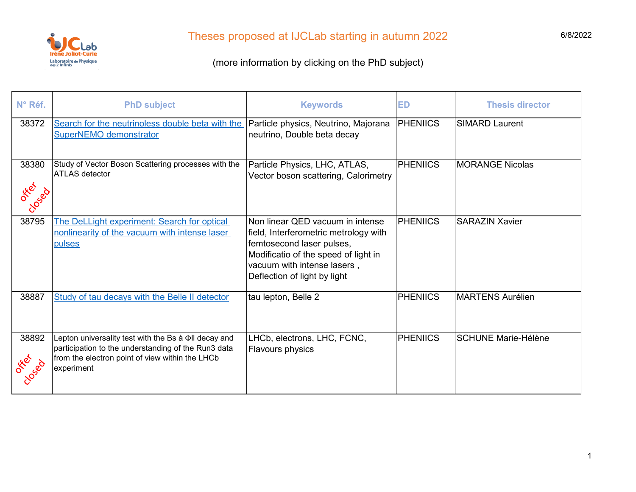

| N° Réf.                    | <b>PhD subject</b>                                                                                                                                                           | <b>Keywords</b>                                                                                                                                                                                               | <b>ED</b>       | <b>Thesis director</b>     |
|----------------------------|------------------------------------------------------------------------------------------------------------------------------------------------------------------------------|---------------------------------------------------------------------------------------------------------------------------------------------------------------------------------------------------------------|-----------------|----------------------------|
| 38372                      | Search for the neutrinoless double beta with the<br><b>SuperNEMO demonstrator</b>                                                                                            | Particle physics, Neutrino, Majorana<br>neutrino, Double beta decay                                                                                                                                           | <b>PHENIICS</b> | <b>SIMARD Laurent</b>      |
| 38380<br>OFFER<br>Closed I | Study of Vector Boson Scattering processes with the<br><b>ATLAS</b> detector                                                                                                 | Particle Physics, LHC, ATLAS,<br>Vector boson scattering, Calorimetry                                                                                                                                         | <b>PHENIICS</b> | <b>MORANGE Nicolas</b>     |
| 38795                      | The DeLLight experiment: Search for optical<br>nonlinearity of the vacuum with intense laser<br>pulses                                                                       | Non linear QED vacuum in intense<br>field, Interferometric metrology with<br>femtosecond laser pulses,<br>Modificatio of the speed of light in<br>vacuum with intense lasers,<br>Deflection of light by light | <b>PHENIICS</b> | <b>SARAZIN Xavier</b>      |
| 38887                      | Study of tau decays with the Belle II detector                                                                                                                               | tau lepton, Belle 2                                                                                                                                                                                           | <b>PHENIICS</b> | <b>MARTENS Aurélien</b>    |
| 38892<br>OFFER<br>Closed   | Lepton universality test with the Bs à DII decay and<br>participation to the understanding of the Run3 data<br>from the electron point of view within the LHCb<br>experiment | LHCb, electrons, LHC, FCNC,<br>Flavours physics                                                                                                                                                               | <b>PHENIICS</b> | <b>SCHUNE Marie-Hélène</b> |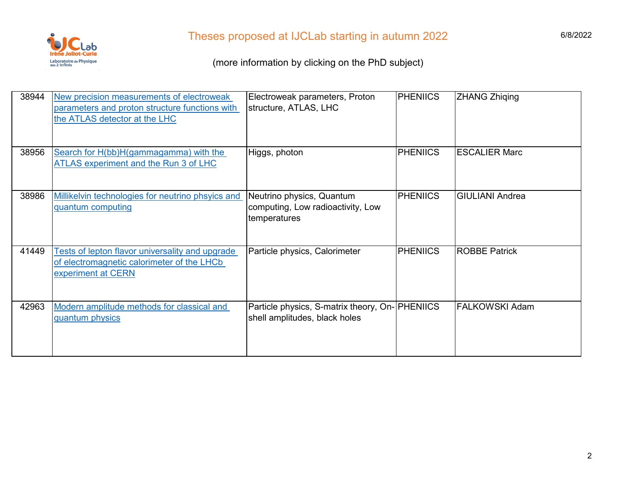

| 38944 | New precision measurements of electroweak<br>parameters and proton structure functions with<br>the ATLAS detector at the LHC | Electroweak parameters, Proton<br>structure, ATLAS, LHC                          | <b>PHENIICS</b> | <b>ZHANG Zhiqing</b>   |
|-------|------------------------------------------------------------------------------------------------------------------------------|----------------------------------------------------------------------------------|-----------------|------------------------|
| 38956 | Search for H(bb)H(gammagamma) with the<br>ATLAS experiment and the Run 3 of LHC                                              | Higgs, photon                                                                    | <b>PHENIICS</b> | <b>ESCALIER Marc</b>   |
| 38986 | Millikelvin technologies for neutrino phsyics and<br>quantum computing                                                       | Neutrino physics, Quantum<br>computing, Low radioactivity, Low<br>temperatures   | <b>PHENIICS</b> | <b>GIULIANI Andrea</b> |
| 41449 | <b>Tests of lepton flavor universality and upgrade</b><br>of electromagnetic calorimeter of the LHCb<br>experiment at CERN   | Particle physics, Calorimeter                                                    | <b>PHENIICS</b> | <b>ROBBE Patrick</b>   |
| 42963 | Modern amplitude methods for classical and<br>quantum physics                                                                | Particle physics, S-matrix theory, On- PHENIICS<br>shell amplitudes, black holes |                 | <b>FALKOWSKI Adam</b>  |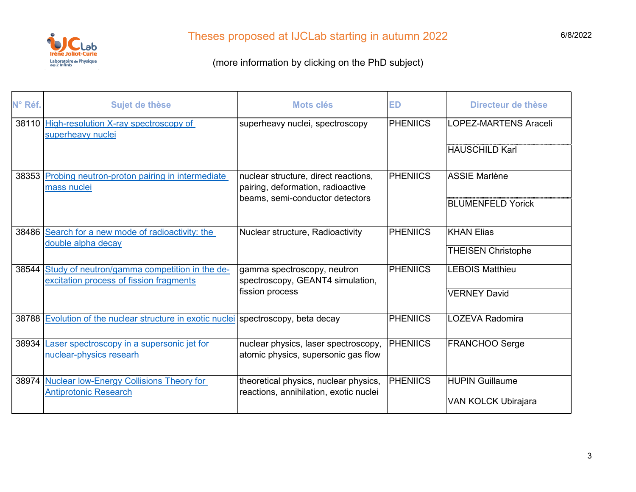

| N° Réf. | Sujet de thèse                                                                           | Mots clés                                                                                                    | <b>ED</b>       | Directeur de thèse           |
|---------|------------------------------------------------------------------------------------------|--------------------------------------------------------------------------------------------------------------|-----------------|------------------------------|
| 38110   | High-resolution X-ray spectroscopy of<br>superheavy nuclei                               | superheavy nuclei, spectroscopy                                                                              | <b>PHENIICS</b> | <b>LOPEZ-MARTENS Araceli</b> |
|         |                                                                                          |                                                                                                              |                 | <b>HAUSCHILD Karl</b>        |
|         | 38353 Probing neutron-proton pairing in intermediate<br>mass nuclei                      | nuclear structure, direct reactions,<br>pairing, deformation, radioactive<br>beams, semi-conductor detectors | <b>PHENIICS</b> | <b>ASSIE Marlène</b>         |
|         |                                                                                          |                                                                                                              |                 | <b>BLUMENFELD Yorick</b>     |
| 38486   | Search for a new mode of radioactivity: the<br>double alpha decay                        | Nuclear structure, Radioactivity                                                                             | <b>PHENIICS</b> | <b>KHAN Elias</b>            |
|         |                                                                                          |                                                                                                              |                 | <b>THEISEN Christophe</b>    |
| 38544   | Study of neutron/gamma competition in the de-<br>excitation process of fission fragments | gamma spectroscopy, neutron<br>spectroscopy, GEANT4 simulation,                                              | <b>PHENIICS</b> | <b>LEBOIS Matthieu</b>       |
|         |                                                                                          | fission process                                                                                              |                 | <b>VERNEY David</b>          |
|         | 38788 Evolution of the nuclear structure in exotic nuclei spectroscopy, beta decay       |                                                                                                              | <b>PHENIICS</b> | <b>LOZEVA Radomira</b>       |
| 38934   | Laser spectroscopy in a supersonic jet for<br>nuclear-physics researh                    | nuclear physics, laser spectroscopy,<br>atomic physics, supersonic gas flow                                  | <b>PHENIICS</b> | <b>FRANCHOO Serge</b>        |
| 38974   | <b>Nuclear low-Energy Collisions Theory for</b><br><b>Antiprotonic Research</b>          | theoretical physics, nuclear physics,<br>reactions, annihilation, exotic nuclei                              | <b>PHENIICS</b> | <b>HUPIN Guillaume</b>       |
|         |                                                                                          |                                                                                                              |                 | VAN KOLCK Ubirajara          |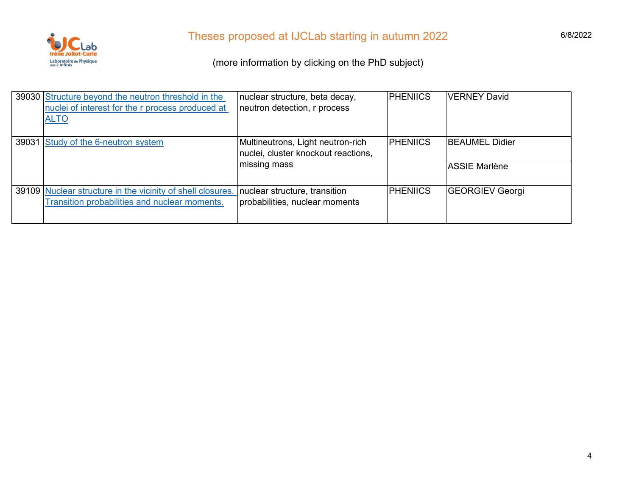

| 39030 Structure beyond the neutron threshold in the        | nuclear structure, beta decay,      | <b>PHENIICS</b> | <b>VERNEY David</b>    |
|------------------------------------------------------------|-------------------------------------|-----------------|------------------------|
| nuclei of interest for the r process produced at           | neutron detection, r process        |                 |                        |
| <b>ALTO</b>                                                |                                     |                 |                        |
|                                                            |                                     |                 |                        |
| 39031 Study of the 6-neutron system                        | Multineutrons, Light neutron-rich   | <b>PHENIICS</b> | <b>BEAUMEL Didier</b>  |
|                                                            | nuclei, cluster knockout reactions, |                 |                        |
|                                                            | missing mass                        |                 | <b>ASSIE Marlène</b>   |
|                                                            |                                     |                 |                        |
| 39109 Nuclear structure in the vicinity of shell closures. | nuclear structure, transition       | <b>PHENIICS</b> | <b>GEORGIEV Georgi</b> |
| Transition probabilities and nuclear moments.              | probabilities, nuclear moments      |                 |                        |
|                                                            |                                     |                 |                        |
|                                                            |                                     |                 |                        |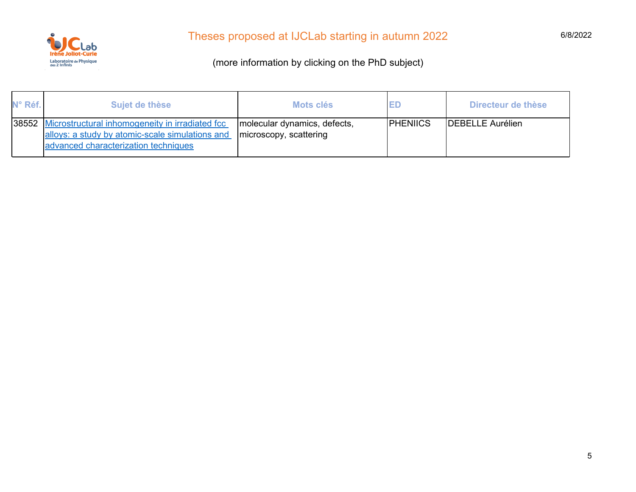

| N° Réf. | Sujet de thèse                                                                                                                             | Mots clés                                              | ED              | Directeur de thèse      |
|---------|--------------------------------------------------------------------------------------------------------------------------------------------|--------------------------------------------------------|-----------------|-------------------------|
| 38552   | Microstructural inhomogeneity in irradiated fcc<br>alloys: a study by atomic-scale simulations and<br>advanced characterization techniques | molecular dynamics, defects,<br>microscopy, scattering | <b>PHENIICS</b> | <b>DEBELLE Aurélien</b> |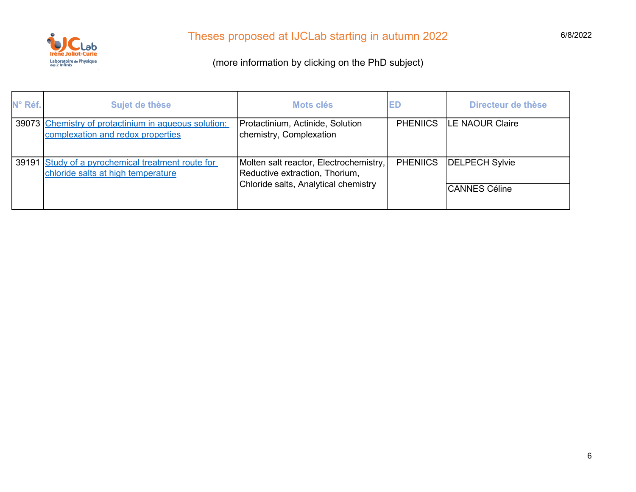

| N° Réf. | Sujet de thèse                                                                            | Mots clés                                                                                                        | <b>ED</b>       | Directeur de thèse                            |
|---------|-------------------------------------------------------------------------------------------|------------------------------------------------------------------------------------------------------------------|-----------------|-----------------------------------------------|
|         | 39073 Chemistry of protactinium in aqueous solution:<br>complexation and redox properties | Protactinium, Actinide, Solution<br>chemistry, Complexation                                                      | <b>PHENIICS</b> | <b>ILE NAOUR Claire</b>                       |
| 39191   | Study of a pyrochemical treatment route for<br>chloride salts at high temperature         | Molten salt reactor, Electrochemistry,<br>Reductive extraction, Thorium,<br>Chloride salts, Analytical chemistry | <b>PHENIICS</b> | <b>DELPECH Sylvie</b><br><b>CANNES Céline</b> |
|         |                                                                                           |                                                                                                                  |                 |                                               |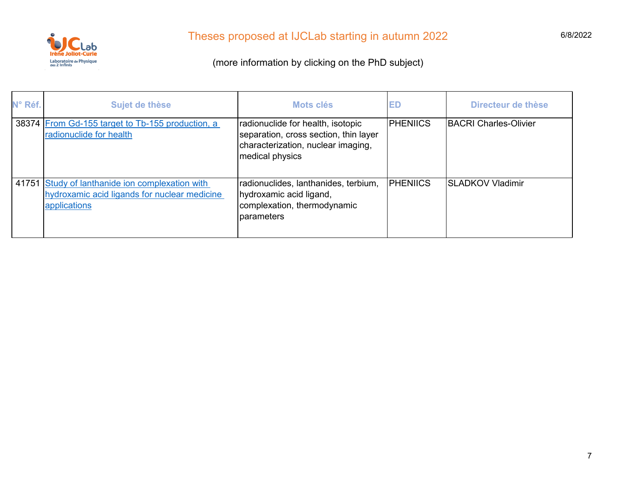

| N° Réf. | Sujet de thèse                                                                                            | Mots clés                                                                                                                           | ED              | Directeur de thèse           |
|---------|-----------------------------------------------------------------------------------------------------------|-------------------------------------------------------------------------------------------------------------------------------------|-----------------|------------------------------|
|         | 38374 From Gd-155 target to Tb-155 production, a<br>radionuclide for health                               | radionuclide for health, isotopic<br>separation, cross section, thin layer<br>characterization, nuclear imaging,<br>medical physics | <b>PHENIICS</b> | <b>BACRI Charles-Olivier</b> |
| 41751   | Study of lanthanide ion complexation with<br>hydroxamic acid ligands for nuclear medicine<br>applications | radionuclides, lanthanides, terbium,<br>hydroxamic acid ligand,<br>complexation, thermodynamic<br>parameters                        | <b>PHENIICS</b> | <b>SLADKOV Vladimir</b>      |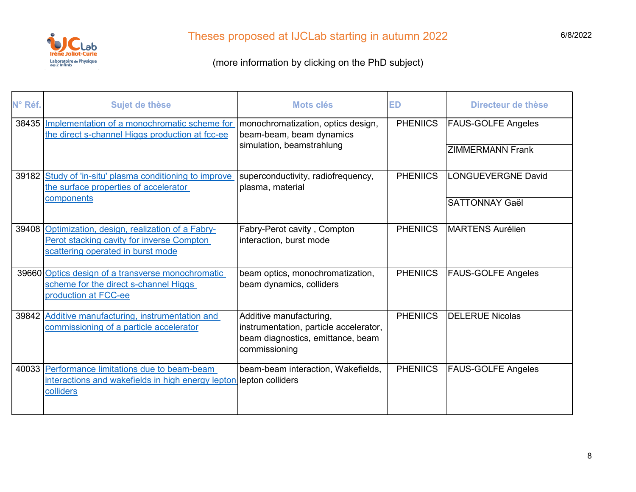

| N° Réf. | Sujet de thèse                                                                                                                        | <b>Mots clés</b>                                                                                                        | <b>ED</b>       | Directeur de thèse        |
|---------|---------------------------------------------------------------------------------------------------------------------------------------|-------------------------------------------------------------------------------------------------------------------------|-----------------|---------------------------|
| 38435   | Implementation of a monochromatic scheme for<br>the direct s-channel Higgs production at fcc-ee                                       | monochromatization, optics design,<br>beam-beam, beam dynamics<br>simulation, beamstrahlung                             | <b>PHENIICS</b> | <b>FAUS-GOLFE Angeles</b> |
|         |                                                                                                                                       |                                                                                                                         |                 | <b>ZIMMERMANN Frank</b>   |
|         | 39182 Study of 'in-situ' plasma conditioning to improve<br>the surface properties of accelerator                                      | superconductivity, radiofrequency,<br>plasma, material                                                                  | <b>PHENIICS</b> | <b>LONGUEVERGNE David</b> |
|         | components                                                                                                                            |                                                                                                                         |                 | <b>SATTONNAY Gaël</b>     |
|         | 39408 Optimization, design, realization of a Fabry-<br>Perot stacking cavity for inverse Compton<br>scattering operated in burst mode | Fabry-Perot cavity, Compton<br>interaction, burst mode                                                                  | <b>PHENIICS</b> | <b>MARTENS Aurélien</b>   |
|         | 39660 Optics design of a transverse monochromatic<br>scheme for the direct s-channel Higgs<br>production at FCC-ee                    | beam optics, monochromatization,<br>beam dynamics, colliders                                                            | <b>PHENIICS</b> | <b>FAUS-GOLFE Angeles</b> |
| 39842   | Additive manufacturing, instrumentation and<br>commissioning of a particle accelerator                                                | Additive manufacturing,<br>instrumentation, particle accelerator,<br>beam diagnostics, emittance, beam<br>commissioning | <b>PHENIICS</b> | <b>DELERUE Nicolas</b>    |
|         | 40033 Performance limitations due to beam-beam<br>interactions and wakefields in high energy lepton lepton colliders<br>colliders     | beam-beam interaction, Wakefields,                                                                                      | <b>PHENIICS</b> | FAUS-GOLFE Angeles        |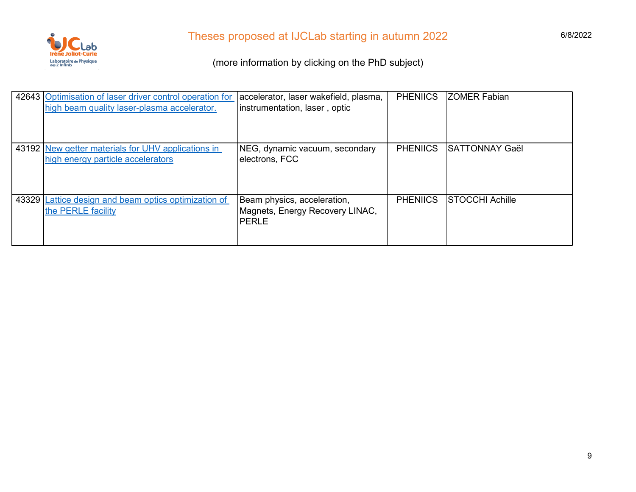

| 42643 Optimisation of laser driver control operation for<br>high beam quality laser-plasma accelerator. | accelerator, laser wakefield, plasma,<br>instrumentation, laser, optic  | <b>PHENIICS</b> | <b>ZOMER Fabian</b>   |
|---------------------------------------------------------------------------------------------------------|-------------------------------------------------------------------------|-----------------|-----------------------|
| 43192 New getter materials for UHV applications in<br>high energy particle accelerators                 | NEG, dynamic vacuum, secondary<br>electrons, FCC                        | <b>PHENIICS</b> | <b>SATTONNAY Gaël</b> |
| 43329 Lattice design and beam optics optimization of<br>the PERLE facility                              | Beam physics, acceleration,<br>Magnets, Energy Recovery LINAC,<br>PERLE | <b>PHENIICS</b> | STOCCHI Achille       |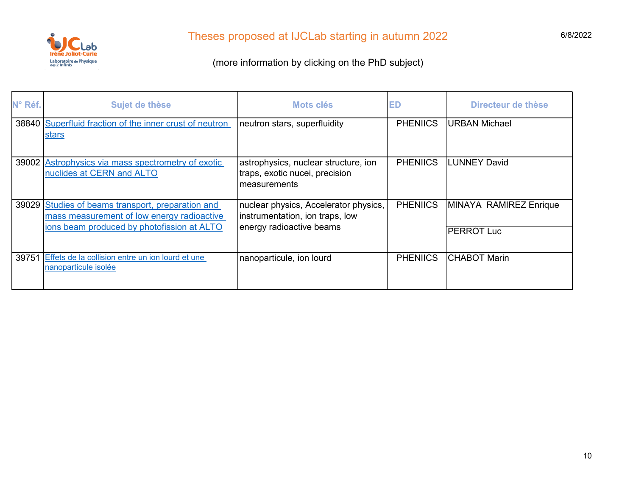

| N° Réf. | Sujet de thèse                                                                                                                                | Mots clés                                                                                            | ED              | Directeur de thèse                          |
|---------|-----------------------------------------------------------------------------------------------------------------------------------------------|------------------------------------------------------------------------------------------------------|-----------------|---------------------------------------------|
|         | 38840 Superfluid fraction of the inner crust of neutron<br>stars                                                                              | neutron stars, superfluidity                                                                         | <b>PHENIICS</b> | <b>URBAN Michael</b>                        |
|         | 39002 Astrophysics via mass spectrometry of exotic<br>nuclides at CERN and ALTO                                                               | astrophysics, nuclear structure, ion<br>traps, exotic nucei, precision<br>measurements               | <b>PHENIICS</b> | <b>LUNNEY David</b>                         |
|         | 39029 Studies of beams transport, preparation and<br>mass measurement of low energy radioactive<br>ions beam produced by photofission at ALTO | nuclear physics, Accelerator physics,<br>instrumentation, ion traps, low<br>energy radioactive beams | <b>PHENIICS</b> | MINAYA RAMIREZ Enrique<br><b>PERROT Luc</b> |
| 39751   | Effets de la collision entre un ion lourd et une<br>nanoparticule isolée                                                                      | nanoparticule, ion lourd                                                                             | <b>PHENIICS</b> | <b>CHABOT Marin</b>                         |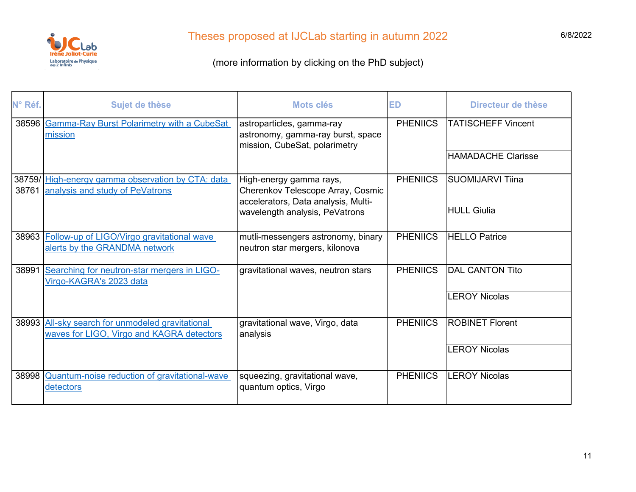

| N° Réf. | Sujet de thèse                                                                                | Mots clés                                                                                           | <b>ED</b>       | Directeur de thèse        |
|---------|-----------------------------------------------------------------------------------------------|-----------------------------------------------------------------------------------------------------|-----------------|---------------------------|
|         | 38596 Gamma-Ray Burst Polarimetry with a CubeSat<br>mission                                   | astroparticles, gamma-ray<br>astronomy, gamma-ray burst, space<br>mission, CubeSat, polarimetry     | <b>PHENIICS</b> | <b>TATISCHEFF Vincent</b> |
|         |                                                                                               |                                                                                                     |                 | <b>HAMADACHE Clarisse</b> |
| 38761   | 38759/High-energy gamma observation by CTA: data<br>analysis and study of PeVatrons           | High-energy gamma rays,<br>Cherenkov Telescope Array, Cosmic<br>accelerators, Data analysis, Multi- | <b>PHENIICS</b> | <b>SUOMIJARVI Tiina</b>   |
|         |                                                                                               | wavelength analysis, PeVatrons                                                                      |                 | <b>HULL Giulia</b>        |
|         | 38963 Follow-up of LIGO/Virgo gravitational wave<br>alerts by the GRANDMA network             | mutli-messengers astronomy, binary<br>neutron star mergers, kilonova                                | <b>PHENIICS</b> | <b>HELLO Patrice</b>      |
| 38991   | Searching for neutron-star mergers in LIGO-<br>Virgo-KAGRA's 2023 data                        | gravitational waves, neutron stars                                                                  | <b>PHENIICS</b> | <b>DAL CANTON Tito</b>    |
|         |                                                                                               |                                                                                                     |                 | <b>LEROY Nicolas</b>      |
|         | 38993 All-sky search for unmodeled gravitational<br>waves for LIGO, Virgo and KAGRA detectors | gravitational wave, Virgo, data<br>analysis                                                         | <b>PHENIICS</b> | <b>ROBINET Florent</b>    |
|         |                                                                                               |                                                                                                     |                 | <b>LEROY Nicolas</b>      |
| 38998   | Quantum-noise reduction of gravitational-wave<br>detectors                                    | squeezing, gravitational wave,<br>quantum optics, Virgo                                             | <b>PHENIICS</b> | <b>LEROY Nicolas</b>      |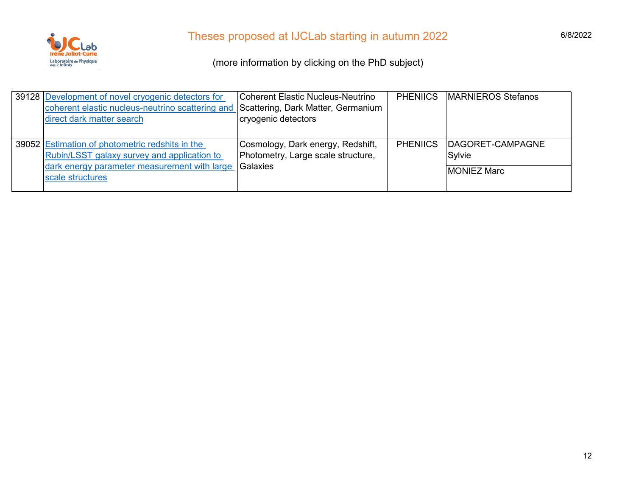

| 39128 Development of novel cryogenic detectors for                                  | Coherent Elastic Nucleus-Neutrino  | <b>PHENIICS</b> | <b>MARNIEROS Stefanos</b> |
|-------------------------------------------------------------------------------------|------------------------------------|-----------------|---------------------------|
| coherent elastic nucleus-neutrino scattering and Scattering, Dark Matter, Germanium |                                    |                 |                           |
| direct dark matter search                                                           | cryogenic detectors                |                 |                           |
|                                                                                     |                                    |                 |                           |
| 39052 Estimation of photometric redshits in the                                     | Cosmology, Dark energy, Redshift,  | <b>PHENIICS</b> | DAGORET-CAMPAGNE          |
| Rubin/LSST galaxy survey and application to                                         | Photometry, Large scale structure, |                 | Sylvie                    |
| dark energy parameter measurement with large                                        | Galaxies                           |                 | <b>IMONIEZ Marc</b>       |
| scale structures                                                                    |                                    |                 |                           |
|                                                                                     |                                    |                 |                           |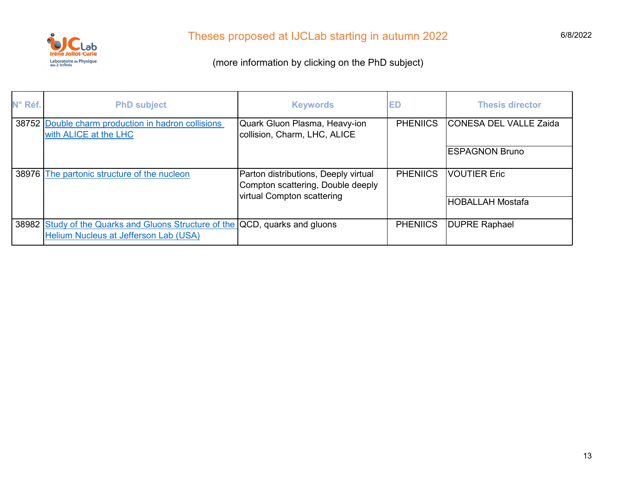

| N° Réf. | <b>PhD subject</b>                                                                                                           | <b>Keywords</b>                                                                                         | ED              | <b>Thesis director</b>        |
|---------|------------------------------------------------------------------------------------------------------------------------------|---------------------------------------------------------------------------------------------------------|-----------------|-------------------------------|
|         | 38752 Double charm production in hadron collisions<br>with ALICE at the LHC                                                  | Quark Gluon Plasma, Heavy-ion<br>collision, Charm, LHC, ALICE                                           | <b>PHENIICS</b> | <b>CONESA DEL VALLE Zaida</b> |
|         |                                                                                                                              |                                                                                                         |                 | <b>ESPAGNON Bruno</b>         |
|         | 38976 The partonic structure of the nucleon                                                                                  | Parton distributions, Deeply virtual<br>Compton scattering, Double deeply<br>virtual Compton scattering | <b>PHENIICS</b> | <b>VOUTIER Eric</b>           |
|         |                                                                                                                              |                                                                                                         |                 | <b>HOBALLAH Mostafa</b>       |
|         | 38982 Study of the Quarks and Gluons Structure of the QCD, quarks and gluons<br><b>Helium Nucleus at Jefferson Lab (USA)</b> |                                                                                                         | <b>PHENIICS</b> | <b>DUPRE Raphael</b>          |